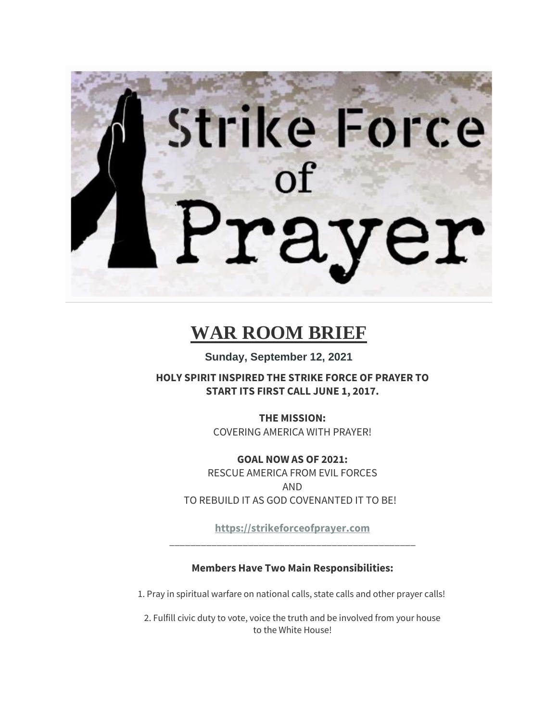# Strike Force r

# **WAR ROOM BRIEF**

**Sunday, September 12, 2021**

**HOLY SPIRIT INSPIRED THE STRIKE FORCE OF PRAYER TO START ITS FIRST CALL JUNE 1, 2017.**

> **THE MISSION:** COVERING AMERICA WITH PRAYER!

**GOAL NOW AS OF 2021:** RESCUE AMERICA FROM EVIL FORCES AND TO REBUILD IT AS GOD COVENANTED IT TO BE!

**[https://strikeforceofprayer.com](https://strikeforceofprayer.com/)** \_\_\_\_\_\_\_\_\_\_\_\_\_\_\_\_\_\_\_\_\_\_\_\_\_\_\_\_\_\_\_\_\_\_\_\_\_\_\_\_\_\_\_\_\_\_\_

**Members Have Two Main Responsibilities:**

1. Pray in spiritual warfare on national calls, state calls and other prayer calls!

2. Fulfill civic duty to vote, voice the truth and be involved from your house to the White House!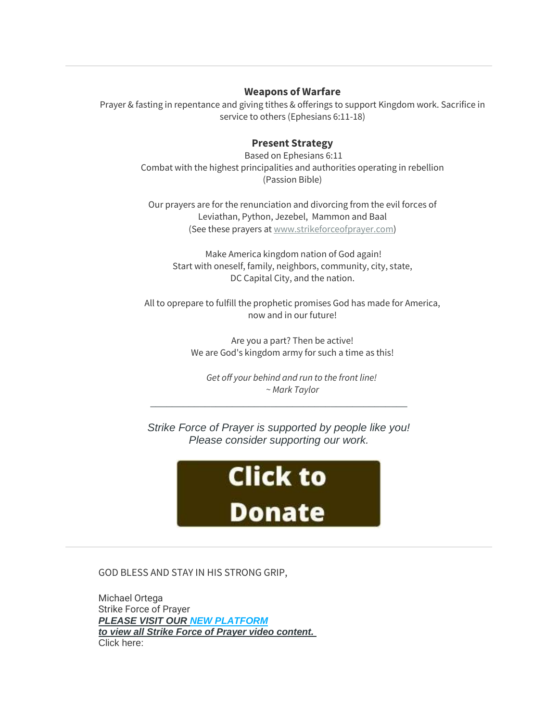## **Weapons of Warfare**

Prayer & fasting in repentance and giving tithes & offerings to support Kingdom work. Sacrifice in service to others (Ephesians 6:11-18)

# **Present Strategy**

Based on Ephesians 6:11 Combat with the highest principalities and authorities operating in rebellion (Passion Bible)

Our prayers are for the renunciation and divorcing from the evil forces of Leviathan, Python, Jezebel, Mammon and Baal (See these prayers at [www.strikeforceofprayer.com\)](https://www.strikeforceofprayer.com/)

Make America kingdom nation of God again! Start with oneself, family, neighbors, community, city, state, DC Capital City, and the nation.

All to oprepare to fulfill the prophetic promises God has made for America, now and in our future!

> Are you a part? Then be active! We are God's kingdom army for such a time as this!

*Get off your behind and run to the front line! ~ Mark Taylor*

*Strike Force of Prayer is supported by people like you! Please consider supporting our work.*

\_\_\_\_\_\_\_\_\_\_\_\_\_\_\_\_\_\_\_\_\_\_\_\_\_\_\_\_\_\_\_\_\_\_\_\_\_\_\_\_\_\_\_\_\_\_\_



GOD BLESS AND STAY IN HIS STRONG GRIP,

Michael Ortega Strike Force of Prayer *PLEASE VISIT OUR [NEW PLATFORM](http://mailing.strikeforceofprayer.com/lt.php?tid=Kk5XVVoEBQRSAk9XAQQESwYAVQdOVlYDABUPAVBaBQFVClcCUFVMUlAHW1MFBFZLAgVSAk4AAA4EFQBeV1RMVgAAU18DUQACUAIDTVJUB14LAAZVTgQGUgMVDAFWAUwIVFNTS1UFVVFQAQAAXVYCAg) to view all Strike Force of Prayer video content.* Click here: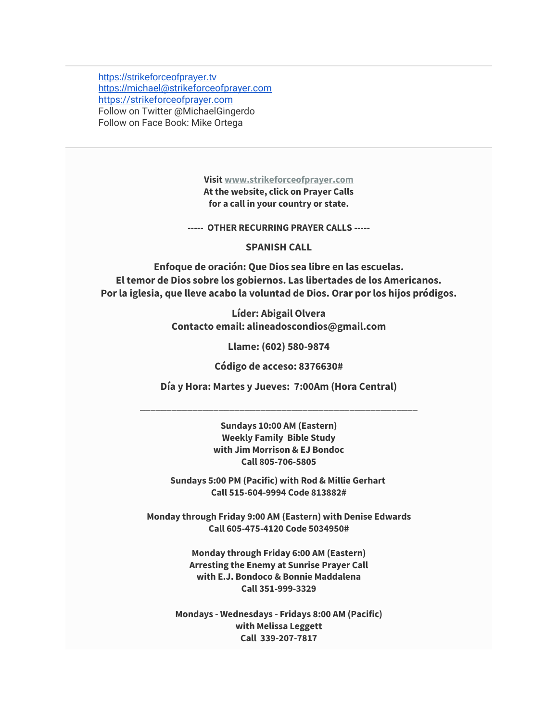[https://strikeforceofprayer.tv](https://strikeforceofprayer.tv/) [https://](https://michael@strikeforceofprayer.com/)[michael@strikeforceofprayer.com](http://mailing.strikeforceofprayer.com/lt.php?tid=Kk5QV1RWUQxUAE8DXQICSwYGVF1OVlNUURUODAsGVQgGCwIEAw1MUlAHW1MFBFZLAgVSAk4AAA4EFQBeV1RMVgAAU18DUQACUAIDTVJUB14LAAZVTgQGUgMVDAFWAUwIVFNTS1UFVVFQAQAAXVYCAg) [https://strikeforceofprayer.com](https://strikeforceofprayer.us17.list-manage.com/track/click?u=30e1fdc9ef72d2ad852be26e9&id=88763f3751&e=cf8e0c7e26) Follow on Twitter @MichaelGingerdo Follow on Face Book: Mike Ortega

> **Visit [www.strikeforceofprayer.com](http://mailing.strikeforceofprayer.com/lt.php?tid=Kk4CUlNVUwJVVE8CVwMMSwZRW1ZODFJTCBVZDQEHBwgHBlUDBlVMDVcEWgRSAABLVwwEBk4AUwUAFVoJAwZMCQcEAFIHA1NSUlJXTVJUB14LAAZVTgQGUgMVDAFWAUwIVFNTS1UFVVFQAQAAXVYCAg) At the website, click on Prayer Calls for a call in your country or state.**

**----- OTHER RECURRING PRAYER CALLS -----**

**SPANISH CALL**

**Enfoque de oración: Que Dios sea libre en las escuelas. El temor de Dios sobre los gobiernos. Las libertades de los Americanos. Por la iglesia, que lleve acabo la voluntad de Dios. Orar por los hijos pródigos.**

> **Líder: Abigail Olvera Contacto email: alineadoscondios@gmail.com**

> > **Llame: (602) 580-9874**

**Código de acceso: 8376630#**

**Día y Hora: Martes y Jueves: 7:00Am (Hora Central)**

\_\_\_\_\_\_\_\_\_\_\_\_\_\_\_\_\_\_\_\_\_\_\_\_\_\_\_\_\_\_\_\_\_\_\_\_\_\_\_\_\_\_\_\_\_\_\_\_\_\_\_\_\_

**Sundays 10:00 AM (Eastern) Weekly Family Bible Study with Jim Morrison & EJ Bondoc Call 805-706-5805**

**Sundays 5:00 PM (Pacific) with Rod & Millie Gerhart Call 515-604-9994 Code 813882#**

**Monday through Friday 9:00 AM (Eastern) with Denise Edwards Call 605-475-4120 Code 5034950#**

> **Monday through Friday 6:00 AM (Eastern) Arresting the Enemy at Sunrise Prayer Call with E.J. Bondoco & Bonnie Maddalena Call 351-999-3329**

**Mondays - Wednesdays - Fridays 8:00 AM (Pacific) with Melissa Leggett Call 339-207-7817**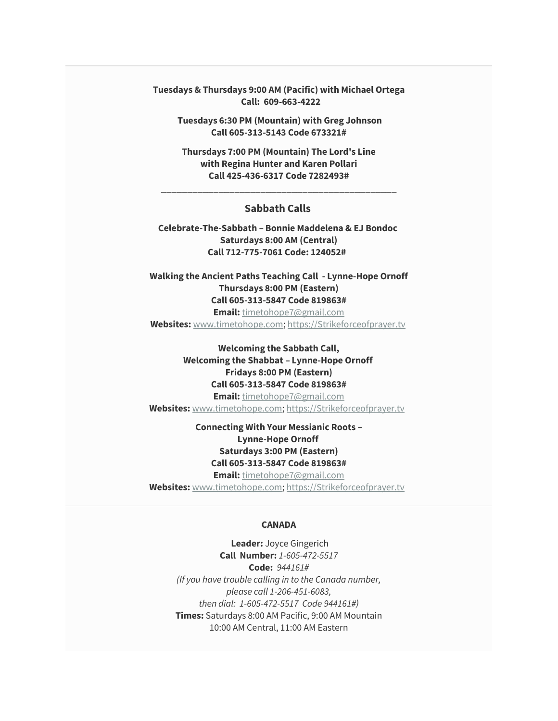**Tuesdays & Thursdays 9:00 AM (Pacific) with Michael Ortega Call: 609-663-4222**

**Tuesdays 6:30 PM (Mountain) with Greg Johnson Call 605-313-5143 Code 673321#**

**Thursdays 7:00 PM (Mountain) The Lord's Line with Regina Hunter and Karen Pollari Call 425-436-6317 Code 7282493#**

\_\_\_\_\_\_\_\_\_\_\_\_\_\_\_\_\_\_\_\_\_\_\_\_\_\_\_\_\_\_\_\_\_\_\_\_\_\_\_\_\_\_\_\_\_

### **Sabbath Calls**

**Celebrate-The-Sabbath – Bonnie Maddelena & EJ Bondoc Saturdays 8:00 AM (Central) Call 712-775-7061 Code: 124052#** 

**Walking the Ancient Paths Teaching Call - Lynne-Hope Ornoff Thursdays 8:00 PM (Eastern) Call 605-313-5847 Code 819863#**

**Email:** [timetohope7@gmail.com](mailto:timetohope7@gmail.com)

**Websites:** [www.timetohope.com;](http://www.timetohope.com/) [https://Strikeforceofprayer.tv](https://strikeforceofprayer.tv/)

**Welcoming the Sabbath Call, Welcoming the Shabbat – Lynne-Hope Ornoff Fridays 8:00 PM (Eastern) Call 605-313-5847 Code 819863# Email:** [timetohope7@gmail.com](mailto:timetohope7@gmail.com) **Websites:** [www.timetohope.com;](http://www.timetohope.com/) [https://Strikeforceofprayer.tv](https://strikeforceofprayer.tv/)

# **Connecting With Your Messianic Roots – Lynne-Hope Ornoff Saturdays 3:00 PM (Eastern) Call 605-313-5847 Code 819863#**

**Email:** [timetohope7@gmail.com](mailto:timetohope7@gmail.com) **Websites:** [www.timetohope.com;](http://www.timetohope.com/) [https://Strikeforceofprayer.tv](https://strikeforceofprayer.tv/)

### **CANADA**

**Leader:** Joyce Gingerich **Call Number:** *1-605-472-5517* **Code:** *944161# (If you have trouble calling in to the Canada number, please call 1-206-451-6083, then dial: 1-605-472-5517 Code 944161#)* **Times:** Saturdays 8:00 AM Pacific, 9:00 AM Mountain 10:00 AM Central, 11:00 AM Eastern